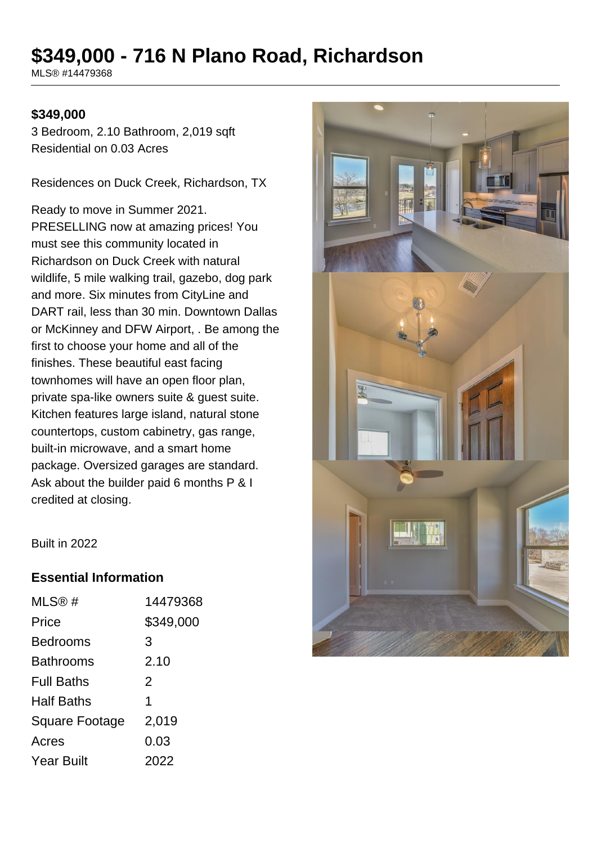# **\$349,000 - 716 N Plano Road, Richardson**

MLS® #14479368

#### **\$349,000**

3 Bedroom, 2.10 Bathroom, 2,019 sqft Residential on 0.03 Acres

Residences on Duck Creek, Richardson, TX

Ready to move in Summer 2021. PRESELLING now at amazing prices! You must see this community located in Richardson on Duck Creek with natural wildlife, 5 mile walking trail, gazebo, dog park and more. Six minutes from CityLine and DART rail, less than 30 min. Downtown Dallas or McKinney and DFW Airport, . Be among the first to choose your home and all of the finishes. These beautiful east facing townhomes will have an open floor plan, private spa-like owners suite & guest suite. Kitchen features large island, natural stone countertops, custom cabinetry, gas range, built-in microwave, and a smart home package. Oversized garages are standard. Ask about the builder paid 6 months P & I credited at closing.



Built in 2022

#### **Essential Information**

| MLS@#                 | 14479368  |
|-----------------------|-----------|
| Price                 | \$349,000 |
| <b>Bedrooms</b>       | 3         |
| <b>Bathrooms</b>      | 2.10      |
| <b>Full Baths</b>     | 2         |
| <b>Half Baths</b>     | 1         |
| <b>Square Footage</b> | 2,019     |
| Acres                 | 0.03      |
| <b>Year Built</b>     | 2022      |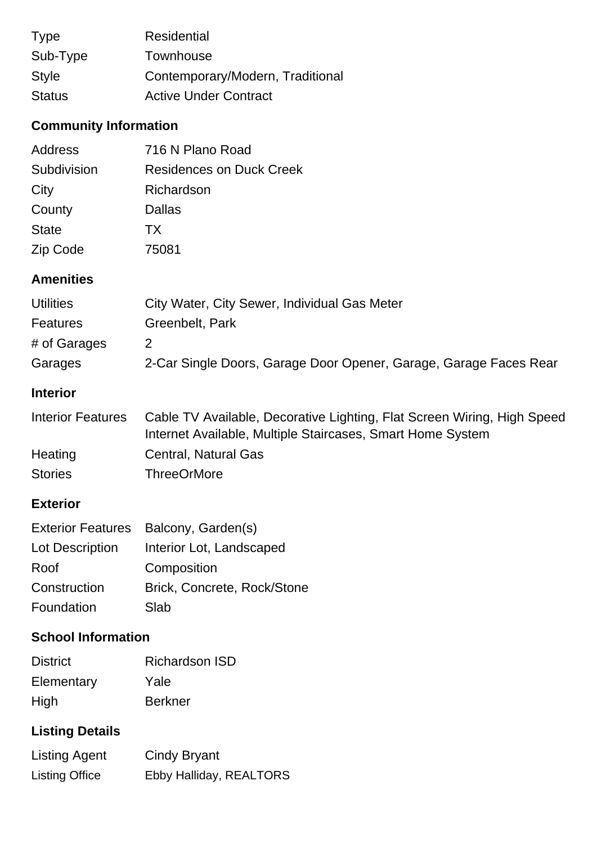| <b>Type</b>   | <b>Residential</b>               |
|---------------|----------------------------------|
| Sub-Type      | Townhouse                        |
| <b>Style</b>  | Contemporary/Modern, Traditional |
| <b>Status</b> | <b>Active Under Contract</b>     |

# **Community Information**

| <b>Address</b>   | 716 N Plano Road                             |
|------------------|----------------------------------------------|
| Subdivision      | <b>Residences on Duck Creek</b>              |
| City             | Richardson                                   |
| County           | Dallas                                       |
| <b>State</b>     | <b>TX</b>                                    |
| Zip Code         | 75081                                        |
|                  |                                              |
| <b>Amenities</b> |                                              |
| <b>Utilities</b> | City Water, City Sewer, Individual Gas Meter |
| <b>Features</b>  | Greenbelt, Park                              |
| # of Garages     | $\overline{2}$                               |

## **Interior**

| Interior Features | Cable TV Available, Decorative Lighting, Flat Screen Wiring, High Speed |
|-------------------|-------------------------------------------------------------------------|
|                   | Internet Available, Multiple Staircases, Smart Home System              |
| Heating           | Central, Natural Gas                                                    |
| <b>Stories</b>    | <b>ThreeOrMore</b>                                                      |

### **Exterior**

|                 | Exterior Features Balcony, Garden(s) |
|-----------------|--------------------------------------|
| Lot Description | Interior Lot, Landscaped             |
| Roof            | Composition                          |
| Construction    | Brick, Concrete, Rock/Stone          |
| Foundation      | Slab                                 |

## **School Information**

| <b>District</b> | <b>Richardson ISD</b> |
|-----------------|-----------------------|
| Elementary      | Yale                  |
| High            | <b>Berkner</b>        |

# **Listing Details**

| Listing Agent         | Cindy Bryant            |
|-----------------------|-------------------------|
| <b>Listing Office</b> | Ebby Halliday, REALTORS |